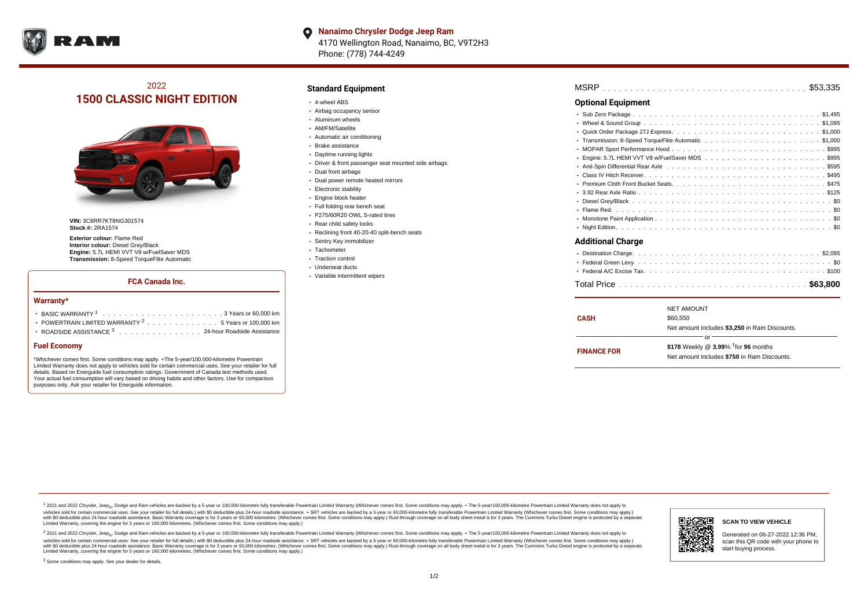

# 2022 **1500 CLASSIC NIGHT EDITION**



**VIN:** 3C6RR7KT8NG301574 **Stock #:** 2RA1574

**Exterior colour:** Flame Red **Interior colour:** Diesel Grey/Black **Engine:** 5.7L HEMI VVT V8 w/FuelSaver MDS **Transmission:** 8-Speed TorqueFlite Automatic

## **FCA Canada Inc.**

#### **Warranty\***

| • POWERTRAIN LIMITED WARRANTY $2, \ldots, \ldots, \ldots, \ldots, 5$ Years or 100,000 km |
|------------------------------------------------------------------------------------------|
| ROADSIDE ASSISTANCE 3 24-hour Roadside Assistance                                        |

### **Fuel Economy**

\*Whichever comes first. Some conditions may apply. +The 5-year/100,000-kilometre Powertrain Limited Warranty does not apply to vehicles sold for certain commercial uses. See your retailer for full details. Based on Energuide fuel consumption ratings. Government of Canada test methods used. Your actual fuel consumption will vary based on driving habits and other factors. Use for comparison purposes only. Ask your retailer for Energuide information.

## **Standard Equipment**

- 4-wheel ABS
- Airbag occupancy sensor
- Aluminum wheels
- AM/FM/Satellite
- Automatic air conditioning
- Brake assistance
- Daytime running lights
- Driver & front passenger seat mounted side airbags
- Dual front airbags
- Dual power remote heated mirrors
- **Electronic stability**
- Engine block heater
- Full folding rear bench seat
- P275/60R20 OWL S-rated tires
- Rear child safety locks
- Reclining front 40-20-40 split-bench seats
- Sentry Key immobilizer
- Tachometer
- Traction control Underseat ducts
- Variable intermittent wipers

| <b>Optional Equipment</b> |  |
|---------------------------|--|
|                           |  |
|                           |  |
|                           |  |
|                           |  |
|                           |  |
|                           |  |
|                           |  |
|                           |  |
|                           |  |
|                           |  |
|                           |  |
|                           |  |
|                           |  |
|                           |  |
| Additional Charge         |  |
|                           |  |

| <b>CASH</b>        | <b>NET AMOUNT</b><br>\$60,550<br>Net amount includes \$3,250 in Ram Discounts.<br>or              |
|--------------------|---------------------------------------------------------------------------------------------------|
| <b>FINANCE FOR</b> | \$178 Weekly @ $3.99\%$ <sup>†</sup> for 96 months<br>Net amount includes \$750 in Ram Discounts. |

<sup>1</sup> 2021 and 2022 Chrysler, Jeep<sub>®</sub>, Dodge and Ram vehicles are backed by a 5-year or 100,000-kilometre fully transferable Powertrain Limited Warranty (Whichever comes first. Some conditions may apply. + The 5-year/100,000 vehicles sold for certain commercial uses. See your retailer for full details.) with \$0 deductible plus 24 hour roadside assistance. + SRT vehicles are backed by a 3-year or 60,000-kilometre fully transferable Powertrain L versus and contract the mean of the contract of the contract with a contract with a contract the contract of the contract of the contract the contract of the contract of the contract of the contract of the contract of the Limited Warranty, covering the engine for 5 years or 160,000 kilometres. (Whichever comes first. Some conditions may apply.)

2 2021 and 2022 Chrysler, Jeep<sub>®</sub>, Dodge and Ram vehicles are backed by a 5-year or 100,000-kilometre fully transferable Powertrain Limited Warranty (Whichever comes first. Some conditions may apply. + The 5-year/100,000-k vehicles sold for certain commercial uses. See your retailer for full details.) with SO deductible plus 24-hour roadside assistance. + SRT vehicles are backed by a 3-year or 60.000-kilometre fully transferable Powertrain. with S0 deductible plus 24-hour roadside assistance. Basic Warranty coverage is for 3 years or 60,000 kilometres. (Whichever comes first. Some conditions may apply.) Rust-through coverage on all body sheet metal is for 3 y



#### **SCAN TO VIEW VEHICLE**

Generated on 06-27-2022 12:36 PM, scan this QR code with your phone to start buying process.

<sup>3</sup> Some conditions may apply. See your dealer for details.